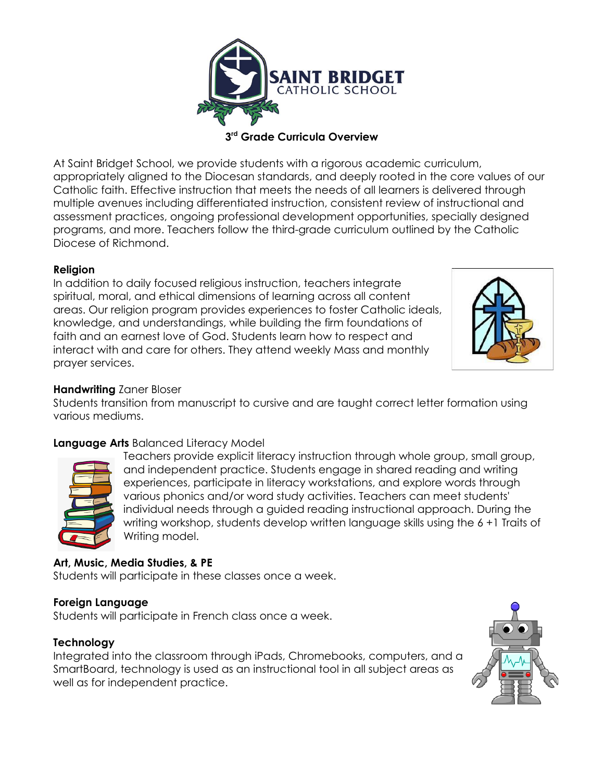

**3 rd Grade Curricula Overview**

At Saint Bridget School, we provide students with a rigorous academic curriculum, appropriately aligned to the Diocesan standards, and deeply rooted in the core values of our Catholic faith. Effective instruction that meets the needs of all learners is delivered through multiple avenues including differentiated instruction, consistent review of instructional and assessment practices, ongoing professional development opportunities, specially designed programs, and more. Teachers follow the third-grade curriculum outlined by the Catholic Diocese of Richmond.

## **Religion**

In addition to daily focused religious instruction, teachers integrate spiritual, moral, and ethical dimensions of learning across all content areas. Our religion program provides experiences to foster Catholic ideals, knowledge, and understandings, while building the firm foundations of faith and an earnest love of God. Students learn how to respect and interact with and care for others. They attend weekly Mass and monthly prayer services.



#### **Handwriting** Zaner Bloser

Students transition from manuscript to cursive and are taught correct letter formation using various mediums.

## **Language Arts** Balanced Literacy Model



Teachers provide explicit literacy instruction through whole group, small group, and independent practice. Students engage in shared reading and writing experiences, participate in literacy workstations, and explore words through various phonics and/or word study activities. Teachers can meet students' individual needs through a guided reading instructional approach. During the writing workshop, students develop written language skills using the 6 +1 Traits of Writing model.

## **Art, Music, Media Studies, & PE**

Students will participate in these classes once a week.

#### **Foreign Language**

Students will participate in French class once a week.

#### **Technology**

Integrated into the classroom through iPads, Chromebooks, computers, and a SmartBoard, technology is used as an instructional tool in all subject areas as well as for independent practice.